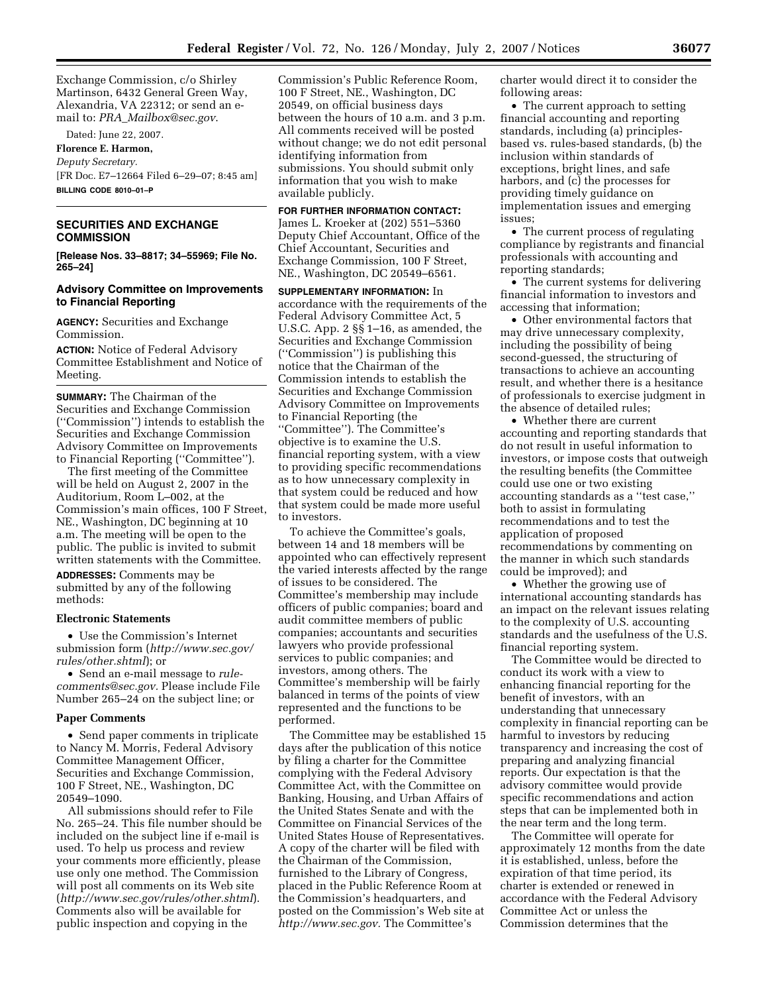Exchange Commission, c/o Shirley Martinson, 6432 General Green Way, Alexandria, VA 22312; or send an email to: *PRA*\_*Mailbox@sec.gov*.

Dated: June 22, 2007.

**Florence E. Harmon,**  *Deputy Secretary.*  [FR Doc. E7–12664 Filed 6–29–07; 8:45 am] **BILLING CODE 8010–01–P** 

# **SECURITIES AND EXCHANGE COMMISSION**

**[Release Nos. 33–8817; 34–55969; File No. 265–24]** 

#### **Advisory Committee on Improvements to Financial Reporting**

**AGENCY:** Securities and Exchange Commission.

**ACTION:** Notice of Federal Advisory Committee Establishment and Notice of Meeting.

**SUMMARY:** The Chairman of the Securities and Exchange Commission (''Commission'') intends to establish the Securities and Exchange Commission Advisory Committee on Improvements to Financial Reporting (''Committee'').

The first meeting of the Committee will be held on August 2, 2007 in the Auditorium, Room L–002, at the Commission's main offices, 100 F Street, NE., Washington, DC beginning at 10 a.m. The meeting will be open to the public. The public is invited to submit written statements with the Committee.

**ADDRESSES:** Comments may be submitted by any of the following methods:

#### **Electronic Statements**

• Use the Commission's Internet submission form (*http://www.sec.gov/ rules/other.shtml*); or

• Send an e-mail message to *rulecomments@sec.gov.* Please include File Number 265–24 on the subject line; or

#### **Paper Comments**

• Send paper comments in triplicate to Nancy M. Morris, Federal Advisory Committee Management Officer, Securities and Exchange Commission, 100 F Street, NE., Washington, DC 20549–1090.

All submissions should refer to File No. 265–24. This file number should be included on the subject line if e-mail is used. To help us process and review your comments more efficiently, please use only one method. The Commission will post all comments on its Web site (*http://www.sec.gov/rules/other.shtml*). Comments also will be available for public inspection and copying in the

Commission's Public Reference Room, 100 F Street, NE., Washington, DC 20549, on official business days between the hours of 10 a.m. and 3 p.m. All comments received will be posted without change; we do not edit personal identifying information from submissions. You should submit only information that you wish to make available publicly.

**FOR FURTHER INFORMATION CONTACT:**  James L. Kroeker at (202) 551–5360 Deputy Chief Accountant, Office of the Chief Accountant, Securities and Exchange Commission, 100 F Street, NE., Washington, DC 20549–6561.

**SUPPLEMENTARY INFORMATION:** In accordance with the requirements of the Federal Advisory Committee Act, 5 U.S.C. App. 2 §§ 1–16, as amended, the Securities and Exchange Commission (''Commission'') is publishing this notice that the Chairman of the Commission intends to establish the Securities and Exchange Commission Advisory Committee on Improvements to Financial Reporting (the ''Committee''). The Committee's objective is to examine the U.S. financial reporting system, with a view to providing specific recommendations as to how unnecessary complexity in that system could be reduced and how that system could be made more useful to investors.

To achieve the Committee's goals, between 14 and 18 members will be appointed who can effectively represent the varied interests affected by the range of issues to be considered. The Committee's membership may include officers of public companies; board and audit committee members of public companies; accountants and securities lawyers who provide professional services to public companies; and investors, among others. The Committee's membership will be fairly balanced in terms of the points of view represented and the functions to be performed.

The Committee may be established 15 days after the publication of this notice by filing a charter for the Committee complying with the Federal Advisory Committee Act, with the Committee on Banking, Housing, and Urban Affairs of the United States Senate and with the Committee on Financial Services of the United States House of Representatives. A copy of the charter will be filed with the Chairman of the Commission, furnished to the Library of Congress, placed in the Public Reference Room at the Commission's headquarters, and posted on the Commission's Web site at *http://www.sec.gov.* The Committee's

charter would direct it to consider the following areas:

• The current approach to setting financial accounting and reporting standards, including (a) principlesbased vs. rules-based standards, (b) the inclusion within standards of exceptions, bright lines, and safe harbors, and (c) the processes for providing timely guidance on implementation issues and emerging issues;

• The current process of regulating compliance by registrants and financial professionals with accounting and reporting standards;

• The current systems for delivering financial information to investors and accessing that information;

• Other environmental factors that may drive unnecessary complexity, including the possibility of being second-guessed, the structuring of transactions to achieve an accounting result, and whether there is a hesitance of professionals to exercise judgment in the absence of detailed rules;

• Whether there are current accounting and reporting standards that do not result in useful information to investors, or impose costs that outweigh the resulting benefits (the Committee could use one or two existing accounting standards as a ''test case,'' both to assist in formulating recommendations and to test the application of proposed recommendations by commenting on the manner in which such standards could be improved); and

• Whether the growing use of international accounting standards has an impact on the relevant issues relating to the complexity of U.S. accounting standards and the usefulness of the U.S. financial reporting system.

The Committee would be directed to conduct its work with a view to enhancing financial reporting for the benefit of investors, with an understanding that unnecessary complexity in financial reporting can be harmful to investors by reducing transparency and increasing the cost of preparing and analyzing financial reports. Our expectation is that the advisory committee would provide specific recommendations and action steps that can be implemented both in the near term and the long term.

The Committee will operate for approximately 12 months from the date it is established, unless, before the expiration of that time period, its charter is extended or renewed in accordance with the Federal Advisory Committee Act or unless the Commission determines that the